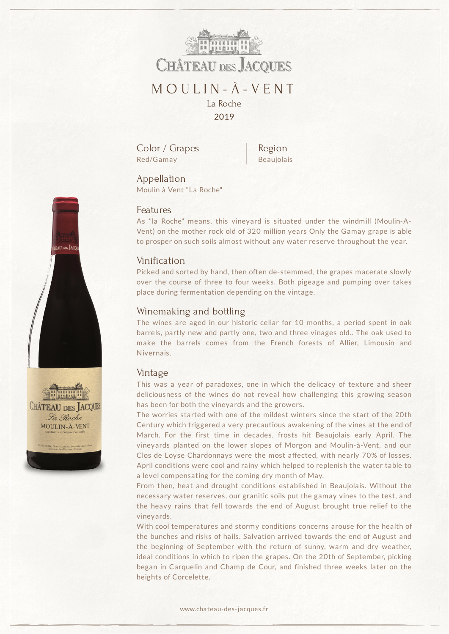

Color / Grapes Red/Gamay

Region Beaujolais

Appellation Moulin à Vent "La Roche"

#### Features

As "la Roche" means, this vineyard is situated under the windmill (Moulin-A-Vent) on the mother rock old of 320 million years Only the Gamay grape is able to prosper on such soils almost without any water reserve throughout the year.

#### Vinification

Picked and sorted by hand, then often de-stemmed, the grapes macerate slowly over the course of three to four weeks. Both pigeage and pumping over takes place during fermentation depending on the vintage.

### Winemaking and bottling

The wines are aged in our historic cellar for 10 months, a period spent in oak barrels, partly new and partly one, two and three vinages old.. The oak used to make the barrels comes from the French forests of Allier, Limousin and Nivernais.

### Vintage

This was a year of paradoxes, one in which the delicacy of texture and sheer deliciousness of the wines do not reveal how challenging this growing season has been for both the vineyards and the growers.

The worries started with one of the mildest winters since the start of the 20th Century which triggered a very precautious awakening of the vines at the end of March. For the first time in decades, frosts hit Beaujolais early April. The vineyards planted on the lower slopes of Morgon and Moulin-à-Vent, and our Clos de Loyse Chardonnays were the most affected, with nearly 70% of losses. April conditions were cool and rainy which helped to replenish the water table to a level compensating for the coming dry month of May.

From then, heat and drought conditions established in Beaujolais. Without the necessary water reserves, our granitic soils put the gamay vines to the test, and the heavy rains that fell towards the end of August brought true relief to the vineyards.

With cool temperatures and stormy conditions concerns arouse for the health of the bunches and risks of hails. Salvation arrived towards the end of August and the beginning of September with the return of sunny, warm and dry weather, ideal conditions in which to ripen the grapes. On the 20th of September, picking began in Carquelin and Champ de Cour, and finished three weeks later on the heights of Corcelette.



**CHÂTEAU DES ACQUES** La Roche MOULIN-À-VENT